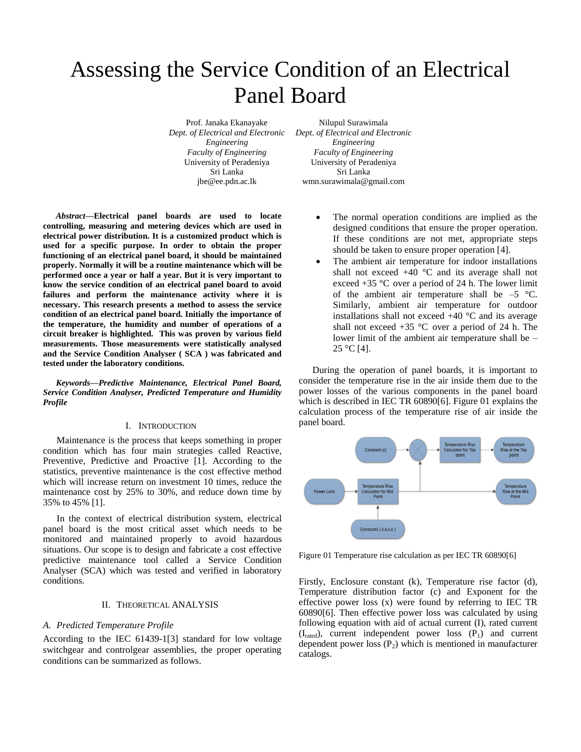# Assessing the Service Condition of an Electrical Panel Board

Prof. Janaka Ekanayake *Dept. of Electrical and Electronic Engineering Faculty of Engineering* University of Peradeniya Sri Lanka jbe@ee.pdn.ac.lk

Nilupul Surawimala *Dept. of Electrical and Electronic Engineering Faculty of Engineering* University of Peradeniya Sri Lanka wmn.surawimala@gmail.com

*Abstract***—Electrical panel boards are used to locate controlling, measuring and metering devices which are used in electrical power distribution. It is a customized product which is used for a specific purpose. In order to obtain the proper functioning of an electrical panel board, it should be maintained properly. Normally it will be a routine maintenance which will be performed once a year or half a year. But it is very important to know the service condition of an electrical panel board to avoid failures and perform the maintenance activity where it is necessary. This research presents a method to assess the service condition of an electrical panel board. Initially the importance of the temperature, the humidity and number of operations of a circuit breaker is highlighted. This was proven by various field measurements. Those measurements were statistically analysed and the Service Condition Analyser ( SCA ) was fabricated and tested under the laboratory conditions.**

*Keywords—Predictive Maintenance, Electrical Panel Board, Service Condition Analyser, Predicted Temperature and Humidity Profile*

#### I. INTRODUCTION

Maintenance is the process that keeps something in proper condition which has four main strategies called Reactive, Preventive, Predictive and Proactive [1]. According to the statistics, preventive maintenance is the cost effective method which will increase return on investment 10 times, reduce the maintenance cost by 25% to 30%, and reduce down time by 35% to 45% [1].

In the context of electrical distribution system, electrical panel board is the most critical asset which needs to be monitored and maintained properly to avoid hazardous situations. Our scope is to design and fabricate a cost effective predictive maintenance tool called a Service Condition Analyser (SCA) which was tested and verified in laboratory conditions.

## II. THEORETICAL ANALYSIS

## *A. Predicted Temperature Profile*

According to the IEC 61439-1[3] standard for low voltage switchgear and controlgear assemblies, the proper operating conditions can be summarized as follows.

- The normal operation conditions are implied as the designed conditions that ensure the proper operation. If these conditions are not met, appropriate steps should be taken to ensure proper operation [4].
- The ambient air temperature for indoor installations shall not exceed  $+40$  °C and its average shall not exceed  $+35$  °C over a period of 24 h. The lower limit of the ambient air temperature shall be  $-5$  °C. Similarly, ambient air temperature for outdoor installations shall not exceed  $+40$  °C and its average shall not exceed  $+35$  °C over a period of 24 h. The lower limit of the ambient air temperature shall be –  $25 °C$  [4].

During the operation of panel boards, it is important to consider the temperature rise in the air inside them due to the power losses of the various components in the panel board which is described in IEC TR 60890[6]. Figure 01 explains the calculation process of the temperature rise of air inside the panel board.



Figure 01 Temperature rise calculation as per IEC TR 60890[6]

Firstly, Enclosure constant (k), Temperature rise factor (d), Temperature distribution factor (c) and Exponent for the effective power loss (x) were found by referring to IEC TR 60890[6]. Then effective power loss was calculated by using following equation with aid of actual current (I), rated current  $(I<sub>rated</sub>)$ , current independent power loss  $(P<sub>1</sub>)$  and current dependent power loss  $(P_2)$  which is mentioned in manufacturer catalogs.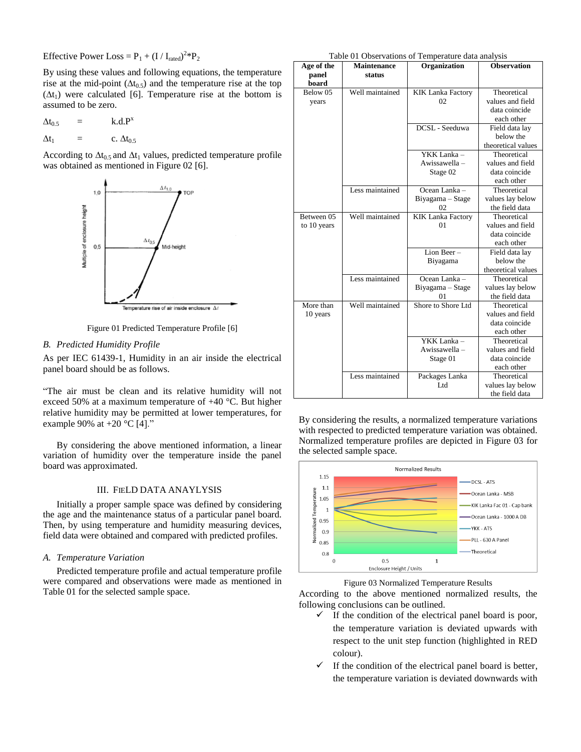Effective Power Loss =  $P_1 + (I / I_{\text{rated}})^2 * P_2$ 

By using these values and following equations, the temperature rise at the mid-point  $(\Delta t_{0.5})$  and the temperature rise at the top  $(\Delta t_1)$  were calculated [6]. Temperature rise at the bottom is assumed to be zero.

$$
\Delta t_{0.5} = k.d.P^{x}
$$

$$
\Delta t_1 = c. \Delta t_{0.5}
$$

According to  $\Delta t_{0.5}$  and  $\Delta t_1$  values, predicted temperature profile was obtained as mentioned in Figure 02 [6].



Figure 01 Predicted Temperature Profile [6]

# *B. Predicted Humidity Profile*

As per IEC 61439-1, Humidity in an air inside the electrical panel board should be as follows.

"The air must be clean and its relative humidity will not exceed 50% at a maximum temperature of +40 °C. But higher relative humidity may be permitted at lower temperatures, for example 90% at  $+20$  °C [4]."

By considering the above mentioned information, a linear variation of humidity over the temperature inside the panel board was approximated.

#### III. FIELD DATA ANAYLYSIS

Initially a proper sample space was defined by considering the age and the maintenance status of a particular panel board. Then, by using temperature and humidity measuring devices, field data were obtained and compared with predicted profiles.

## *A. Temperature Variation*

Predicted temperature profile and actual temperature profile were compared and observations were made as mentioned in Table 01 for the selected sample space.

Table 01 Observations of Temperature data analysis

| Age of the  | $\sigma$ $\sigma$ $\sigma$ $\sigma$ $\sigma$ $\sigma$ $\sigma$ $\sigma$<br>Maintenance | remperature and analysis<br>Organization | <b>Observation</b> |
|-------------|----------------------------------------------------------------------------------------|------------------------------------------|--------------------|
| panel       | status                                                                                 |                                          |                    |
| board       |                                                                                        |                                          |                    |
| Below 05    | Well maintained                                                                        | <b>KIK Lanka Factory</b>                 | Theoretical        |
| years       |                                                                                        | 02                                       | values and field   |
|             |                                                                                        |                                          | data coincide      |
|             |                                                                                        |                                          | each other         |
|             |                                                                                        | DCSL - Seeduwa                           | Field data lay     |
|             |                                                                                        |                                          | below the          |
|             |                                                                                        |                                          | theoretical values |
|             |                                                                                        | YKK Lanka -                              | Theoretical        |
|             |                                                                                        | Awissawella-                             | values and field   |
|             |                                                                                        | Stage 02                                 | data coincide      |
|             |                                                                                        |                                          | each other         |
|             | Less maintained                                                                        | Ocean Lanka-                             | Theoretical        |
|             |                                                                                        | Biyagama – Stage                         | values lay below   |
|             |                                                                                        | 02                                       | the field data     |
| Between 05  | Well maintained                                                                        | <b>KIK</b> Lanka Factory                 | Theoretical        |
| to 10 years |                                                                                        | 01                                       | values and field   |
|             |                                                                                        |                                          | data coincide      |
|             |                                                                                        |                                          | each other         |
|             |                                                                                        | Lion Beer-                               | Field data lay     |
|             |                                                                                        | Biyagama                                 | below the          |
|             |                                                                                        |                                          | theoretical values |
|             | Less maintained                                                                        | Ocean Lanka-                             | Theoretical        |
|             |                                                                                        | Biyagama - Stage                         | values lay below   |
|             |                                                                                        | 01                                       | the field data     |
| More than   | Well maintained                                                                        | Shore to Shore Ltd                       | Theoretical        |
| 10 years    |                                                                                        |                                          | values and field   |
|             |                                                                                        |                                          | data coincide      |
|             |                                                                                        |                                          | each other         |
|             |                                                                                        | YKK Lanka -                              | Theoretical        |
|             |                                                                                        | Awissawella -                            | values and field   |
|             |                                                                                        | Stage 01                                 | data coincide      |
|             |                                                                                        |                                          | each other         |
|             | Less maintained                                                                        | Packages Lanka                           | Theoretical        |
|             |                                                                                        | Ltd                                      | values lay below   |
|             |                                                                                        |                                          | the field data     |

By considering the results, a normalized temperature variations with respected to predicted temperature variation was obtained. Normalized temperature profiles are depicted in Figure 03 for the selected sample space.



Figure 03 Normalized Temperature Results

According to the above mentioned normalized results, the following conclusions can be outlined.

- $\checkmark$  If the condition of the electrical panel board is poor, the temperature variation is deviated upwards with respect to the unit step function (highlighted in RED colour).
- $\checkmark$  If the condition of the electrical panel board is better, the temperature variation is deviated downwards with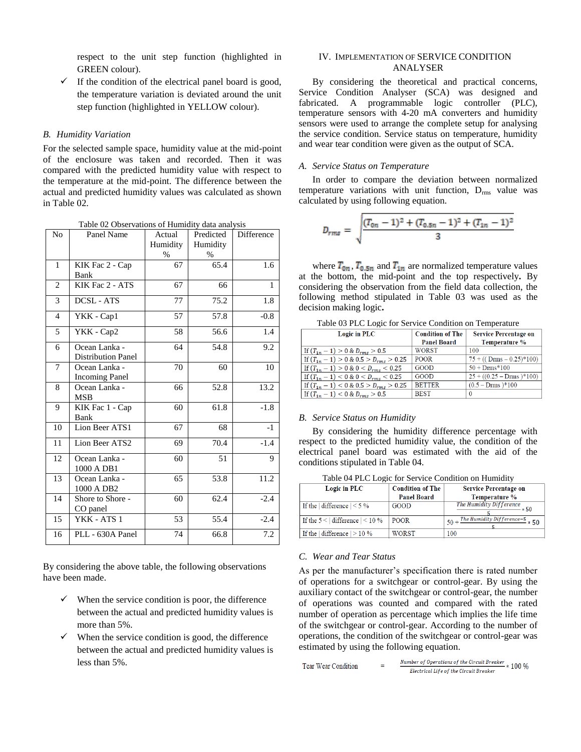respect to the unit step function (highlighted in GREEN colour).

 $\checkmark$  If the condition of the electrical panel board is good, the temperature variation is deviated around the unit step function (highlighted in YELLOW colour).

#### *B. Humidity Variation*

For the selected sample space, humidity value at the mid-point of the enclosure was taken and recorded. Then it was compared with the predicted humidity value with respect to the temperature at the mid-point. The difference between the actual and predicted humidity values was calculated as shown in Table 02.

| Table 02 Observations of Humidity data analysis |                           |          |           |            |  |
|-------------------------------------------------|---------------------------|----------|-----------|------------|--|
| No                                              | Panel Name                | Actual   | Predicted | Difference |  |
|                                                 |                           | Humidity | Humidity  |            |  |
|                                                 |                           | $\%$     | $\%$      |            |  |
| $\mathbf{1}$                                    | KIK Fac 2 - Cap           | 67       | 65.4      | 1.6        |  |
|                                                 | Bank                      |          |           |            |  |
| $\overline{c}$                                  | KIK Fac 2 - ATS           | 67       | 66        | 1          |  |
| 3                                               | <b>DCSL-ATS</b>           | 77       | 75.2      | 1.8        |  |
| $\overline{4}$                                  | YKK - Cap1                | 57       | 57.8      | $-0.8$     |  |
| 5                                               | YKK - Cap2                | 58       | 56.6      | 1.4        |  |
| 6                                               | Ocean Lanka -             | 64       | 54.8      | 9.2        |  |
|                                                 | <b>Distribution Panel</b> |          |           |            |  |
| 7                                               | Ocean Lanka -             | 70       | 60        | 10         |  |
|                                                 | <b>Incoming Panel</b>     |          |           |            |  |
| 8                                               | Ocean Lanka -             | 66       | 52.8      | 13.2       |  |
|                                                 | MSB                       |          |           |            |  |
| 9                                               | KIK Fac 1 - Cap           | 60       | 61.8      | $-1.8$     |  |
|                                                 | Bank                      |          |           |            |  |
| 10                                              | Lion Beer ATS1            | 67       | 68        | $-1$       |  |
| 11                                              | Lion Beer ATS2            | 69       | 70.4      | $-1.4$     |  |
|                                                 |                           |          |           |            |  |
| 12                                              | Ocean Lanka -             | 60       | 51        | 9          |  |
|                                                 | 1000 A DB1                |          |           |            |  |
| 13                                              | Ocean Lanka -             | 65       | 53.8      | 11.2       |  |
|                                                 | 1000 A DB2                |          |           |            |  |
| 14                                              | Shore to Shore -          | 60       | 62.4      | $-2.4$     |  |
|                                                 | CO panel                  |          |           |            |  |
| 15                                              | YKK - ATS 1               | 53       | 55.4      | $-2.4$     |  |
| 16                                              | PLL - 630A Panel          | 74       | 66.8      | 7.2        |  |
|                                                 |                           |          |           |            |  |

By considering the above table, the following observations have been made.

- When the service condition is poor, the difference between the actual and predicted humidity values is more than 5%.
- When the service condition is good, the difference between the actual and predicted humidity values is less than 5%.

# IV. IMPLEMENTATION OF SERVICE CONDITION ANALYSER

By considering the theoretical and practical concerns, Service Condition Analyser (SCA) was designed and fabricated. A programmable logic controller (PLC), temperature sensors with 4-20 mA converters and humidity sensors were used to arrange the complete setup for analysing the service condition. Service status on temperature, humidity and wear tear condition were given as the output of SCA.

#### *A. Service Status on Temperature*

In order to compare the deviation between normalized temperature variations with unit function,  $D_{rms}$  value was calculated by using following equation.

$$
D_{rms} = \sqrt{\frac{(T_{0n} - 1)^2 + (T_{0.5n} - 1)^2 + (T_{1n} - 1)^2}{3}}
$$

where  $T_{on}$ ,  $T_{0.5n}$  and  $T_{1n}$  are normalized temperature values at the bottom, the mid-point and the top respectively**.** By considering the observation from the field data collection, the following method stipulated in Table 03 was used as the decision making logic**.**

| Logic in PLC                                  | <b>Condition of The</b> | <b>Service Percentage on</b> |
|-----------------------------------------------|-------------------------|------------------------------|
|                                               | <b>Panel Board</b>      | Temperature %                |
| If $(T_{1n} - 1) > 0$ & $D_{rms} > 0.5$       | <b>WORST</b>            | 100                          |
| If $(T_{1n} - 1) > 0 \& 0.5 > D_{rms} > 0.25$ | <b>POOR</b>             | $75 + ((Drms - 0.25)^*100)$  |
| If $(T_{1n} - 1) > 0$ & $0 < D_{rms} < 0.25$  | <b>GOOD</b>             | $50 + Drms*100$              |
| If $(T_{1n} - 1) < 0 \& 0 < D_{rms} < 0.25$   | GOOD                    | $25 + ((0.25 - Drms)^*100)$  |
| If $(T_{1n} - 1) < 0 \& 0.5 > D_{rms} > 0.25$ | <b>BETTER</b>           | $(0.5 - Drms)^*100$          |
| If $(T_{1n} - 1) < 0$ & $D_{rms} > 0.5$       | <b>BEST</b>             | $\theta$                     |

Table 03 PLC Logic for Service Condition on Temperature

#### *B. Service Status on Humidity*

By considering the humidity difference percentage with respect to the predicted humidity value, the condition of the electrical panel board was estimated with the aid of the conditions stipulated in Table 04.

| Table 04 PLC Logic for Service Condition on Humidity |  |  |  |  |  |
|------------------------------------------------------|--|--|--|--|--|
|------------------------------------------------------|--|--|--|--|--|

| Logic in PLC                             | <b>Condition of The</b> | <b>Service Percentage on</b>           |  |
|------------------------------------------|-------------------------|----------------------------------------|--|
|                                          | <b>Panel Board</b>      | Temperature %                          |  |
| If the $\vert$ difference $\vert$ < 5 %  | GOOD                    | The Humidity Difference<br>$*50$       |  |
| If the $5 <$ difference $ $ < 10 %       | $ $ POOR                | $50 +$ The Humidity Difference-5 $*50$ |  |
| If the $\vert$ difference $\vert$ > 10 % | WORST                   | 100                                    |  |

#### *C. Wear and Tear Status*

As per the manufacturer's specification there is rated number of operations for a switchgear or control-gear. By using the auxiliary contact of the switchgear or control-gear, the number of operations was counted and compared with the rated number of operation as percentage which implies the life time of the switchgear or control-gear. According to the number of operations, the condition of the switchgear or control-gear was estimated by using the following equation.

**Tear Wear Condition** 

Number of Operations of the Circuit Breaker  $*100\%$ Electrical Life of the Circuit Breaker